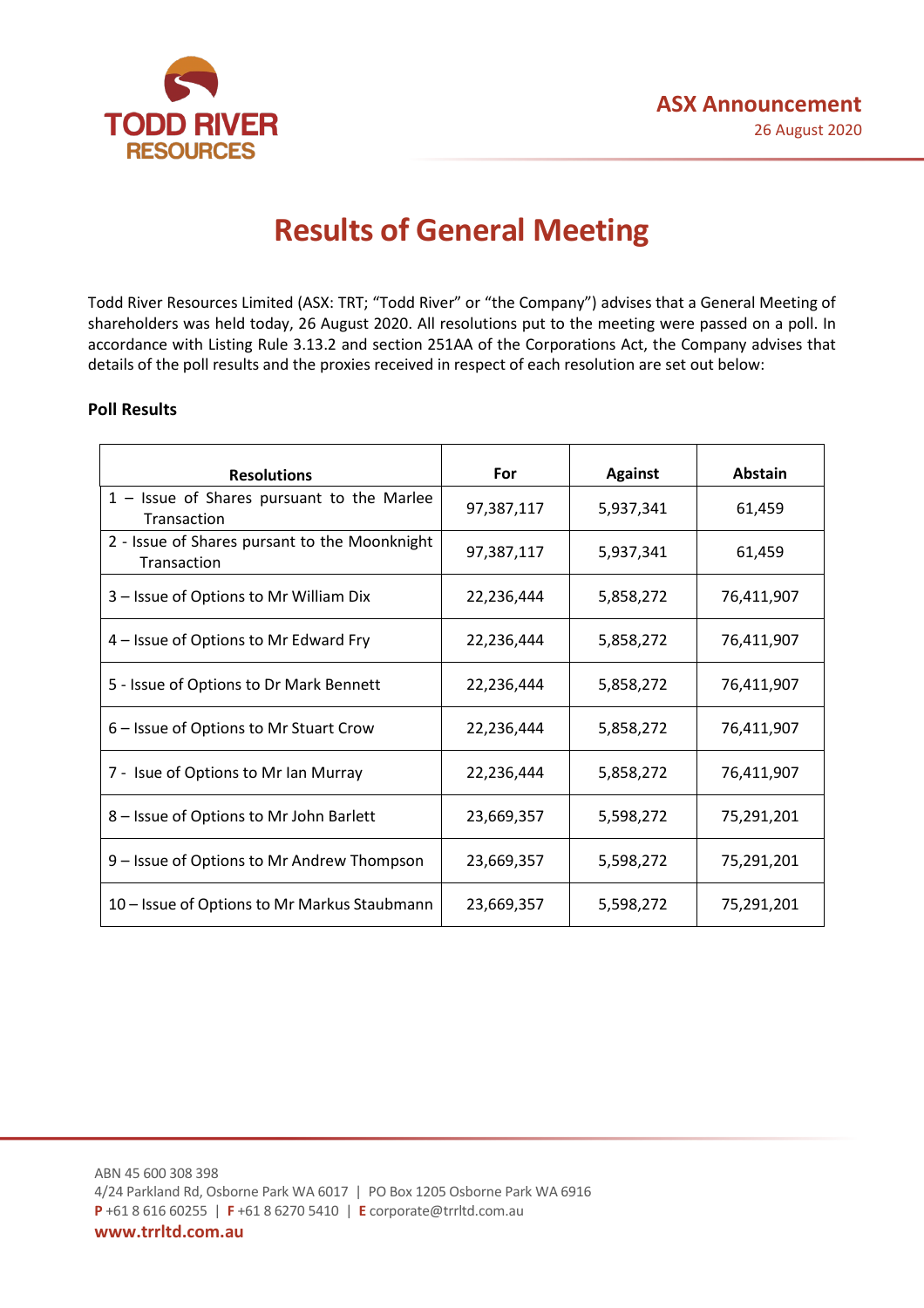

# **Results of General Meeting**

Todd River Resources Limited (ASX: TRT; "Todd River" or "the Company") advises that a General Meeting of shareholders was held today, 26 August 2020. All resolutions put to the meeting were passed on a poll. In accordance with Listing Rule 3.13.2 and section 251AA of the Corporations Act, the Company advises that details of the poll results and the proxies received in respect of each resolution are set out below:

## **Poll Results**

| <b>Resolutions</b>                                           | For        | <b>Against</b> | Abstain    |
|--------------------------------------------------------------|------------|----------------|------------|
| $1 -$ Issue of Shares pursuant to the Marlee<br>Transaction  | 97,387,117 | 5,937,341      | 61,459     |
| 2 - Issue of Shares pursant to the Moonknight<br>Transaction | 97,387,117 | 5,937,341      | 61,459     |
| 3 - Issue of Options to Mr William Dix                       | 22,236,444 | 5,858,272      | 76,411,907 |
| 4 – Issue of Options to Mr Edward Fry                        | 22,236,444 | 5,858,272      | 76,411,907 |
| 5 - Issue of Options to Dr Mark Bennett                      | 22,236,444 | 5,858,272      | 76,411,907 |
| 6 – Issue of Options to Mr Stuart Crow                       | 22,236,444 | 5,858,272      | 76,411,907 |
| 7 - Isue of Options to Mr Ian Murray                         | 22,236,444 | 5,858,272      | 76,411,907 |
| 8 - Issue of Options to Mr John Barlett                      | 23,669,357 | 5,598,272      | 75,291,201 |
| 9 – Issue of Options to Mr Andrew Thompson                   | 23,669,357 | 5,598,272      | 75,291,201 |
| 10 - Issue of Options to Mr Markus Staubmann                 | 23,669,357 | 5,598,272      | 75,291,201 |